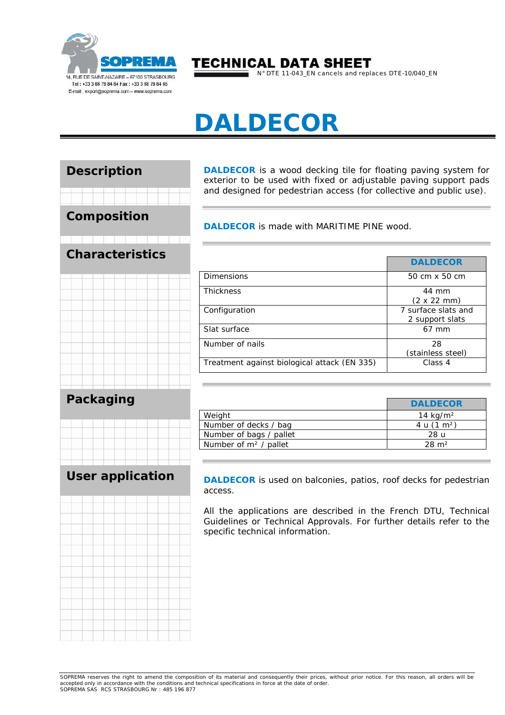

# **TECHNICAL DATA SHEET**

N° DTE 11-043\_EN cancels and replaces DTE-10/040\_EN

# **DALDECOR**



**DALDECOR** is a wood decking tile for floating paving system for exterior to be used with fixed or adjustable paving support pads and designed for pedestrian access (for collective and public use).

**DALDECOR** is made with MARITIME PINE wood.

|                                              | <b>DALDECOR</b>                        |
|----------------------------------------------|----------------------------------------|
| <b>Dimensions</b>                            | 50 cm x 50 cm                          |
| <b>Thickness</b>                             | 44 mm<br>$(2 \times 22 \text{ mm})$    |
| Configuration                                | 7 surface slats and<br>2 support slats |
| Slat surface                                 | $67$ mm                                |
| Number of nails                              | 28<br>(stainless steel)                |
| Treatment against biological attack (EN 335) | Class 4                                |

|                         | <b>DALDECOR</b>       |
|-------------------------|-----------------------|
| Weight                  | 14 $kg/m2$            |
| Number of decks / bag   | 4 u $(1 \text{ m}^2)$ |
| Number of bags / pallet | 28 u                  |
| Number of $m2$ / pallet | $28 \text{ m}^2$      |

**DALDECOR** is used on balconies, patios, roof decks for pedestrian access.

All the applications are described in the French DTU, Technical Guidelines or Technical Approvals. For further details refer to the specific technical information.